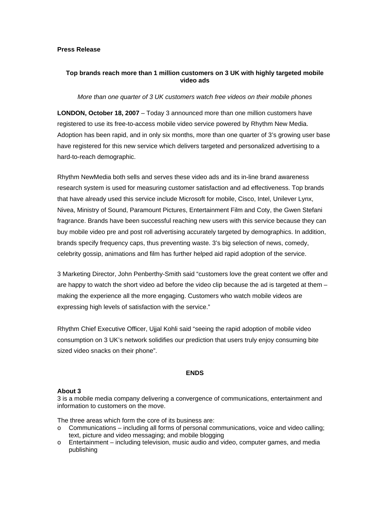### **Press Release**

# **Top brands reach more than 1 million customers on 3 UK with highly targeted mobile video ads**

### *More than one quarter of 3 UK customers watch free videos on their mobile phones*

**LONDON, October 18, 2007** – Today 3 announced more than one million customers have registered to use its free-to-access mobile video service powered by Rhythm New Media. Adoption has been rapid, and in only six months, more than one quarter of 3's growing user base have registered for this new service which delivers targeted and personalized advertising to a hard-to-reach demographic.

Rhythm NewMedia both sells and serves these video ads and its in-line brand awareness research system is used for measuring customer satisfaction and ad effectiveness. Top brands that have already used this service include Microsoft for mobile, Cisco, Intel, Unilever Lynx, Nivea, Ministry of Sound, Paramount Pictures, Entertainment Film and Coty, the Gwen Stefani fragrance. Brands have been successful reaching new users with this service because they can buy mobile video pre and post roll advertising accurately targeted by demographics. In addition, brands specify frequency caps, thus preventing waste. 3's big selection of news, comedy, celebrity gossip, animations and film has further helped aid rapid adoption of the service.

3 Marketing Director, John Penberthy-Smith said "customers love the great content we offer and are happy to watch the short video ad before the video clip because the ad is targeted at them – making the experience all the more engaging. Customers who watch mobile videos are expressing high levels of satisfaction with the service."

Rhythm Chief Executive Officer, Ujjal Kohli said "seeing the rapid adoption of mobile video consumption on 3 UK's network solidifies our prediction that users truly enjoy consuming bite sized video snacks on their phone".

#### **ENDS**

#### **About 3**

3 is a mobile media company delivering a convergence of communications, entertainment and information to customers on the move.

The three areas which form the core of its business are:

- $\circ$  Communications including all forms of personal communications, voice and video calling; text, picture and video messaging; and mobile blogging
- $\circ$  Entertainment including television, music audio and video, computer games, and media publishing